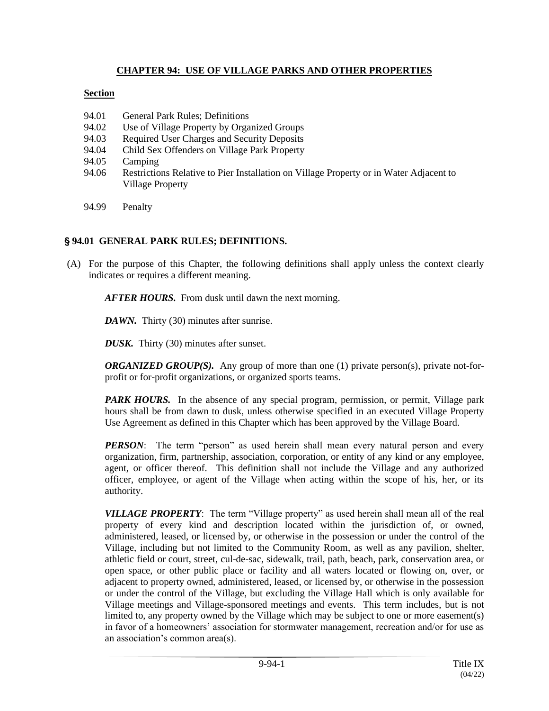### **CHAPTER 94: USE OF VILLAGE PARKS AND OTHER PROPERTIES**

### **Section**

- 94.01 General Park Rules; Definitions
- 94.02 Use of Village Property by Organized Groups
- 94.03 Required User Charges and Security Deposits
- 94.04 Child Sex Offenders on Village Park Property
- 94.05 Camping
- 94.06 Restrictions Relative to Pier Installation on Village Property or in Water Adjacent to Village Property
- 94.99 Penalty

## ' **94.01 GENERAL PARK RULES; DEFINITIONS.**

(A) For the purpose of this Chapter, the following definitions shall apply unless the context clearly indicates or requires a different meaning.

*AFTER HOURS.* From dusk until dawn the next morning.

*DAWN.* Thirty (30) minutes after sunrise.

*DUSK.* Thirty (30) minutes after sunset.

*ORGANIZED GROUP(S).* Any group of more than one (1) private person(s), private not-forprofit or for-profit organizations, or organized sports teams.

*PARK HOURS.* In the absence of any special program, permission, or permit, Village park hours shall be from dawn to dusk, unless otherwise specified in an executed Village Property Use Agreement as defined in this Chapter which has been approved by the Village Board.

*PERSON*: The term "person" as used herein shall mean every natural person and every organization, firm, partnership, association, corporation, or entity of any kind or any employee, agent, or officer thereof. This definition shall not include the Village and any authorized officer, employee, or agent of the Village when acting within the scope of his, her, or its authority.

*VILLAGE PROPERTY*: The term "Village property" as used herein shall mean all of the real property of every kind and description located within the jurisdiction of, or owned, administered, leased, or licensed by, or otherwise in the possession or under the control of the Village, including but not limited to the Community Room, as well as any pavilion, shelter, athletic field or court, street, cul-de-sac, sidewalk, trail, path, beach, park, conservation area, or open space, or other public place or facility and all waters located or flowing on, over, or adjacent to property owned, administered, leased, or licensed by, or otherwise in the possession or under the control of the Village, but excluding the Village Hall which is only available for Village meetings and Village-sponsored meetings and events. This term includes, but is not limited to, any property owned by the Village which may be subject to one or more easement(s) in favor of a homeowners' association for stormwater management, recreation and/or for use as an association's common area(s).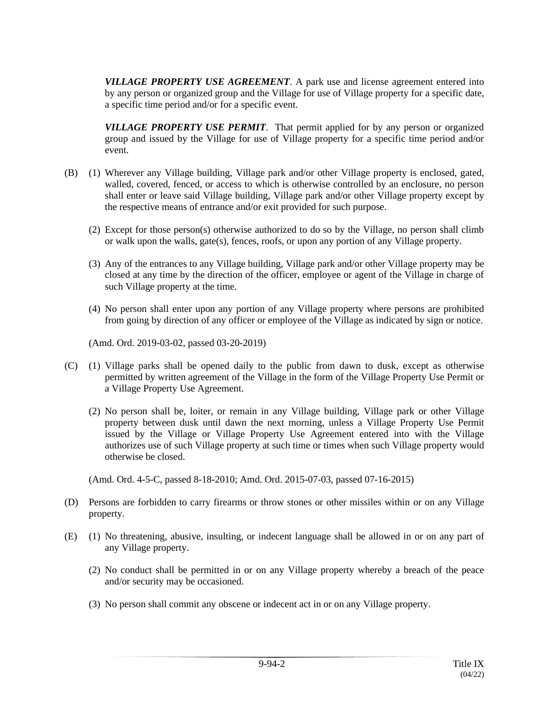*VILLAGE PROPERTY USE AGREEMENT*. A park use and license agreement entered into by any person or organized group and the Village for use of Village property for a specific date, a specific time period and/or for a specific event.

*VILLAGE PROPERTY USE PERMIT*. That permit applied for by any person or organized group and issued by the Village for use of Village property for a specific time period and/or event.

- (B) (1) Wherever any Village building, Village park and/or other Village property is enclosed, gated, walled, covered, fenced, or access to which is otherwise controlled by an enclosure, no person shall enter or leave said Village building, Village park and/or other Village property except by the respective means of entrance and/or exit provided for such purpose.
	- (2) Except for those person(s) otherwise authorized to do so by the Village, no person shall climb or walk upon the walls, gate(s), fences, roofs, or upon any portion of any Village property.
	- (3) Any of the entrances to any Village building, Village park and/or other Village property may be closed at any time by the direction of the officer, employee or agent of the Village in charge of such Village property at the time.
	- (4) No person shall enter upon any portion of any Village property where persons are prohibited from going by direction of any officer or employee of the Village as indicated by sign or notice.

(Amd. Ord. 2019-03-02, passed 03-20-2019)

- (C) (1) Village parks shall be opened daily to the public from dawn to dusk, except as otherwise permitted by written agreement of the Village in the form of the Village Property Use Permit or a Village Property Use Agreement.
	- (2) No person shall be, loiter, or remain in any Village building, Village park or other Village property between dusk until dawn the next morning, unless a Village Property Use Permit issued by the Village or Village Property Use Agreement entered into with the Village authorizes use of such Village property at such time or times when such Village property would otherwise be closed.

(Amd. Ord. 4-5-C, passed 8-18-2010; Amd. Ord. 2015-07-03, passed 07-16-2015)

- (D) Persons are forbidden to carry firearms or throw stones or other missiles within or on any Village property.
- (E) (1) No threatening, abusive, insulting, or indecent language shall be allowed in or on any part of any Village property.
	- (2) No conduct shall be permitted in or on any Village property whereby a breach of the peace and/or security may be occasioned.
	- (3) No person shall commit any obscene or indecent act in or on any Village property.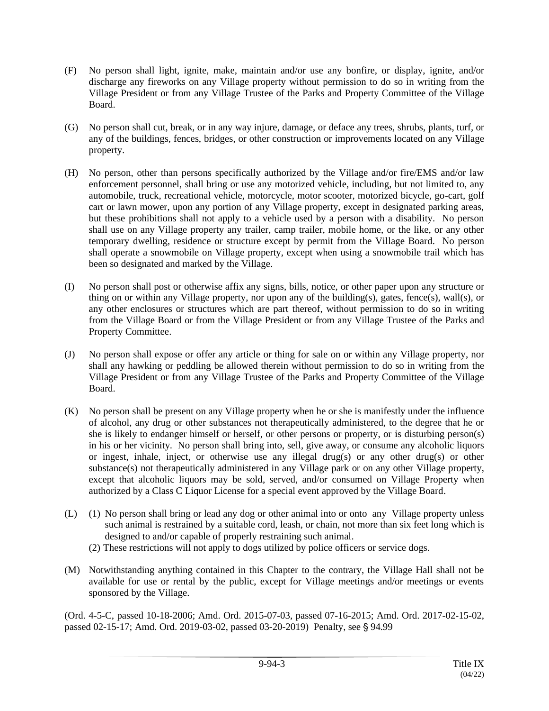- (F) No person shall light, ignite, make, maintain and/or use any bonfire, or display, ignite, and/or discharge any fireworks on any Village property without permission to do so in writing from the Village President or from any Village Trustee of the Parks and Property Committee of the Village Board.
- (G) No person shall cut, break, or in any way injure, damage, or deface any trees, shrubs, plants, turf, or any of the buildings, fences, bridges, or other construction or improvements located on any Village property.
- (H) No person, other than persons specifically authorized by the Village and/or fire/EMS and/or law enforcement personnel, shall bring or use any motorized vehicle, including, but not limited to, any automobile, truck, recreational vehicle, motorcycle, motor scooter, motorized bicycle, go-cart, golf cart or lawn mower, upon any portion of any Village property, except in designated parking areas, but these prohibitions shall not apply to a vehicle used by a person with a disability. No person shall use on any Village property any trailer, camp trailer, mobile home, or the like, or any other temporary dwelling, residence or structure except by permit from the Village Board. No person shall operate a snowmobile on Village property, except when using a snowmobile trail which has been so designated and marked by the Village.
- (I) No person shall post or otherwise affix any signs, bills, notice, or other paper upon any structure or thing on or within any Village property, nor upon any of the building(s), gates, fence(s), wall(s), or any other enclosures or structures which are part thereof, without permission to do so in writing from the Village Board or from the Village President or from any Village Trustee of the Parks and Property Committee.
- (J) No person shall expose or offer any article or thing for sale on or within any Village property, nor shall any hawking or peddling be allowed therein without permission to do so in writing from the Village President or from any Village Trustee of the Parks and Property Committee of the Village Board.
- (K) No person shall be present on any Village property when he or she is manifestly under the influence of alcohol, any drug or other substances not therapeutically administered, to the degree that he or she is likely to endanger himself or herself, or other persons or property, or is disturbing person(s) in his or her vicinity. No person shall bring into, sell, give away, or consume any alcoholic liquors or ingest, inhale, inject, or otherwise use any illegal drug(s) or any other drug(s) or other substance(s) not therapeutically administered in any Village park or on any other Village property, except that alcoholic liquors may be sold, served, and/or consumed on Village Property when authorized by a Class C Liquor License for a special event approved by the Village Board.
- (L) (1) No person shall bring or lead any dog or other animal into or onto any Village property unless such animal is restrained by a suitable cord, leash, or chain, not more than six feet long which is designed to and/or capable of properly restraining such animal.
	- (2) These restrictions will not apply to dogs utilized by police officers or service dogs.
- (M) Notwithstanding anything contained in this Chapter to the contrary, the Village Hall shall not be available for use or rental by the public, except for Village meetings and/or meetings or events sponsored by the Village.

(Ord. 4-5-C, passed 10-18-2006; Amd. Ord. 2015-07-03, passed 07-16-2015; Amd. Ord. 2017-02-15-02, passed 02-15-17; Amd. Ord. 2019-03-02, passed 03-20-2019) Penalty, see § 94.99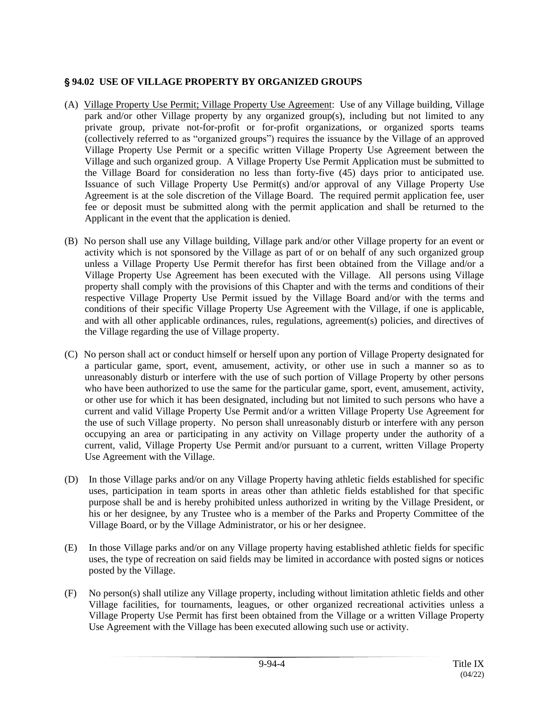# ' **94.02 USE OF VILLAGE PROPERTY BY ORGANIZED GROUPS**

- (A) Village Property Use Permit; Village Property Use Agreement: Use of any Village building, Village park and/or other Village property by any organized group(s), including but not limited to any private group, private not-for-profit or for-profit organizations, or organized sports teams (collectively referred to as "organized groups") requires the issuance by the Village of an approved Village Property Use Permit or a specific written Village Property Use Agreement between the Village and such organized group. A Village Property Use Permit Application must be submitted to the Village Board for consideration no less than forty-five (45) days prior to anticipated use. Issuance of such Village Property Use Permit(s) and/or approval of any Village Property Use Agreement is at the sole discretion of the Village Board. The required permit application fee, user fee or deposit must be submitted along with the permit application and shall be returned to the Applicant in the event that the application is denied.
- (B) No person shall use any Village building, Village park and/or other Village property for an event or activity which is not sponsored by the Village as part of or on behalf of any such organized group unless a Village Property Use Permit therefor has first been obtained from the Village and/or a Village Property Use Agreement has been executed with the Village. All persons using Village property shall comply with the provisions of this Chapter and with the terms and conditions of their respective Village Property Use Permit issued by the Village Board and/or with the terms and conditions of their specific Village Property Use Agreement with the Village, if one is applicable, and with all other applicable ordinances, rules, regulations, agreement(s) policies, and directives of the Village regarding the use of Village property.
- (C) No person shall act or conduct himself or herself upon any portion of Village Property designated for a particular game, sport, event, amusement, activity, or other use in such a manner so as to unreasonably disturb or interfere with the use of such portion of Village Property by other persons who have been authorized to use the same for the particular game, sport, event, amusement, activity, or other use for which it has been designated, including but not limited to such persons who have a current and valid Village Property Use Permit and/or a written Village Property Use Agreement for the use of such Village property. No person shall unreasonably disturb or interfere with any person occupying an area or participating in any activity on Village property under the authority of a current, valid, Village Property Use Permit and/or pursuant to a current, written Village Property Use Agreement with the Village.
- (D) In those Village parks and/or on any Village Property having athletic fields established for specific uses, participation in team sports in areas other than athletic fields established for that specific purpose shall be and is hereby prohibited unless authorized in writing by the Village President, or his or her designee, by any Trustee who is a member of the Parks and Property Committee of the Village Board, or by the Village Administrator, or his or her designee.
- (E) In those Village parks and/or on any Village property having established athletic fields for specific uses, the type of recreation on said fields may be limited in accordance with posted signs or notices posted by the Village.
- (F) No person(s) shall utilize any Village property, including without limitation athletic fields and other Village facilities, for tournaments, leagues, or other organized recreational activities unless a Village Property Use Permit has first been obtained from the Village or a written Village Property Use Agreement with the Village has been executed allowing such use or activity.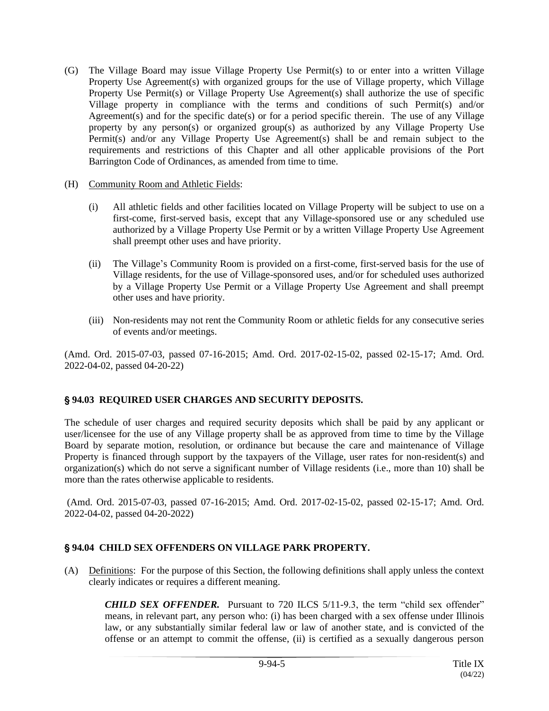- (G) The Village Board may issue Village Property Use Permit(s) to or enter into a written Village Property Use Agreement(s) with organized groups for the use of Village property, which Village Property Use Permit(s) or Village Property Use Agreement(s) shall authorize the use of specific Village property in compliance with the terms and conditions of such Permit(s) and/or Agreement(s) and for the specific date(s) or for a period specific therein. The use of any Village property by any person(s) or organized group(s) as authorized by any Village Property Use Permit(s) and/or any Village Property Use Agreement(s) shall be and remain subject to the requirements and restrictions of this Chapter and all other applicable provisions of the Port Barrington Code of Ordinances, as amended from time to time.
- (H) Community Room and Athletic Fields:
	- (i) All athletic fields and other facilities located on Village Property will be subject to use on a first-come, first-served basis, except that any Village-sponsored use or any scheduled use authorized by a Village Property Use Permit or by a written Village Property Use Agreement shall preempt other uses and have priority.
	- (ii) The Village's Community Room is provided on a first-come, first-served basis for the use of Village residents, for the use of Village-sponsored uses, and/or for scheduled uses authorized by a Village Property Use Permit or a Village Property Use Agreement and shall preempt other uses and have priority.
	- (iii) Non-residents may not rent the Community Room or athletic fields for any consecutive series of events and/or meetings.

(Amd. Ord. 2015-07-03, passed 07-16-2015; Amd. Ord. 2017-02-15-02, passed 02-15-17; Amd. Ord. 2022-04-02, passed 04-20-22)

## ' **94.03 REQUIRED USER CHARGES AND SECURITY DEPOSITS.**

The schedule of user charges and required security deposits which shall be paid by any applicant or user/licensee for the use of any Village property shall be as approved from time to time by the Village Board by separate motion, resolution, or ordinance but because the care and maintenance of Village Property is financed through support by the taxpayers of the Village, user rates for non-resident(s) and organization(s) which do not serve a significant number of Village residents (i.e., more than 10) shall be more than the rates otherwise applicable to residents.

(Amd. Ord. 2015-07-03, passed 07-16-2015; Amd. Ord. 2017-02-15-02, passed 02-15-17; Amd. Ord. 2022-04-02, passed 04-20-2022)

#### ' **94.04 CHILD SEX OFFENDERS ON VILLAGE PARK PROPERTY.**

(A) Definitions: For the purpose of this Section, the following definitions shall apply unless the context clearly indicates or requires a different meaning.

*CHILD SEX OFFENDER.* Pursuant to 720 ILCS 5/11-9.3, the term "child sex offender" means, in relevant part, any person who: (i) has been charged with a sex offense under Illinois law, or any substantially similar federal law or law of another state, and is convicted of the offense or an attempt to commit the offense, (ii) is certified as a sexually dangerous person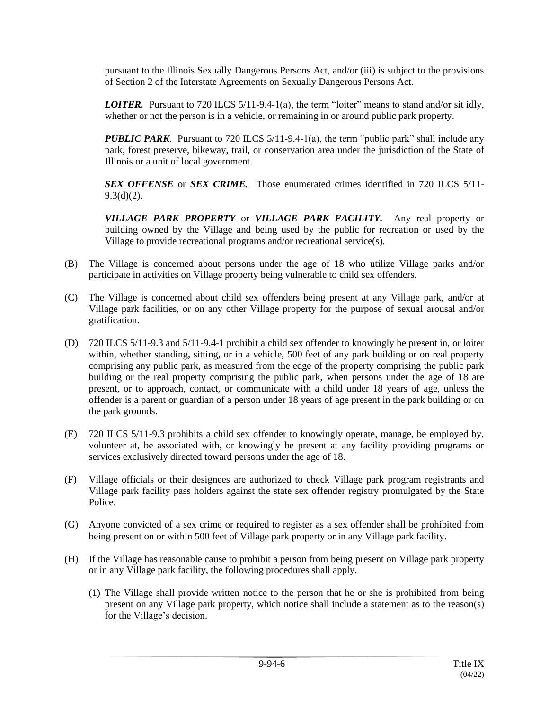pursuant to the Illinois Sexually Dangerous Persons Act, and/or (iii) is subject to the provisions of Section 2 of the Interstate Agreements on Sexually Dangerous Persons Act.

*LOITER.* Pursuant to 720 ILCS 5/11-9.4-1(a), the term "loiter" means to stand and/or sit idly, whether or not the person is in a vehicle, or remaining in or around public park property.

*PUBLIC PARK*. Pursuant to 720 ILCS 5/11-9.4-1(a), the term "public park" shall include any park, forest preserve, bikeway, trail, or conservation area under the jurisdiction of the State of Illinois or a unit of local government.

*SEX OFFENSE* or *SEX CRIME.* Those enumerated crimes identified in 720 ILCS 5/11-  $9.3(d)(2)$ .

*VILLAGE PARK PROPERTY* or *VILLAGE PARK FACILITY.* Any real property or building owned by the Village and being used by the public for recreation or used by the Village to provide recreational programs and/or recreational service(s).

- (B) The Village is concerned about persons under the age of 18 who utilize Village parks and/or participate in activities on Village property being vulnerable to child sex offenders.
- (C) The Village is concerned about child sex offenders being present at any Village park, and/or at Village park facilities, or on any other Village property for the purpose of sexual arousal and/or gratification.
- (D) 720 ILCS 5/11-9.3 and 5/11-9.4-1 prohibit a child sex offender to knowingly be present in, or loiter within, whether standing, sitting, or in a vehicle, 500 feet of any park building or on real property comprising any public park, as measured from the edge of the property comprising the public park building or the real property comprising the public park, when persons under the age of 18 are present, or to approach, contact, or communicate with a child under 18 years of age, unless the offender is a parent or guardian of a person under 18 years of age present in the park building or on the park grounds.
- (E) 720 ILCS 5/11-9.3 prohibits a child sex offender to knowingly operate, manage, be employed by, volunteer at, be associated with, or knowingly be present at any facility providing programs or services exclusively directed toward persons under the age of 18.
- (F) Village officials or their designees are authorized to check Village park program registrants and Village park facility pass holders against the state sex offender registry promulgated by the State Police.
- (G) Anyone convicted of a sex crime or required to register as a sex offender shall be prohibited from being present on or within 500 feet of Village park property or in any Village park facility.
- (H) If the Village has reasonable cause to prohibit a person from being present on Village park property or in any Village park facility, the following procedures shall apply.
	- (1) The Village shall provide written notice to the person that he or she is prohibited from being present on any Village park property, which notice shall include a statement as to the reason(s) for the Village's decision.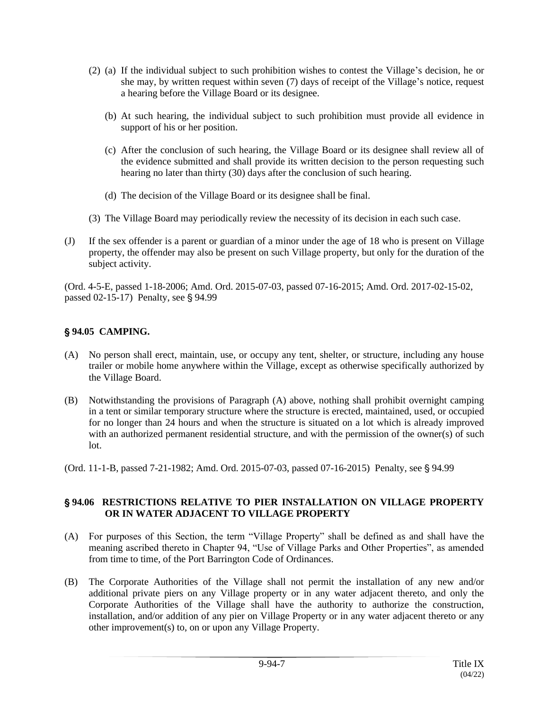- (2) (a) If the individual subject to such prohibition wishes to contest the Village's decision, he or she may, by written request within seven (7) days of receipt of the Village's notice, request a hearing before the Village Board or its designee.
	- (b) At such hearing, the individual subject to such prohibition must provide all evidence in support of his or her position.
	- (c) After the conclusion of such hearing, the Village Board or its designee shall review all of the evidence submitted and shall provide its written decision to the person requesting such hearing no later than thirty (30) days after the conclusion of such hearing.
	- (d) The decision of the Village Board or its designee shall be final.
- (3) The Village Board may periodically review the necessity of its decision in each such case.
- (J) If the sex offender is a parent or guardian of a minor under the age of 18 who is present on Village property, the offender may also be present on such Village property, but only for the duration of the subject activity.

(Ord. 4-5-E, passed 1-18-2006; Amd. Ord. 2015-07-03, passed 07-16-2015; Amd. Ord. 2017-02-15-02, passed  $02-15-17$ ) Penalty, see  $\S$  94.99

# ' **94.05 CAMPING.**

- (A) No person shall erect, maintain, use, or occupy any tent, shelter, or structure, including any house trailer or mobile home anywhere within the Village, except as otherwise specifically authorized by the Village Board.
- (B) Notwithstanding the provisions of Paragraph (A) above, nothing shall prohibit overnight camping in a tent or similar temporary structure where the structure is erected, maintained, used, or occupied for no longer than 24 hours and when the structure is situated on a lot which is already improved with an authorized permanent residential structure, and with the permission of the owner(s) of such lot.

(Ord. 11-1-B, passed 7-21-1982; Amd. Ord. 2015-07-03, passed 07-16-2015) Penalty, see § 94.99

#### ' **94.06 RESTRICTIONS RELATIVE TO PIER INSTALLATION ON VILLAGE PROPERTY OR IN WATER ADJACENT TO VILLAGE PROPERTY**

- (A) For purposes of this Section, the term "Village Property" shall be defined as and shall have the meaning ascribed thereto in Chapter 94, "Use of Village Parks and Other Properties", as amended from time to time, of the Port Barrington Code of Ordinances.
- (B) The Corporate Authorities of the Village shall not permit the installation of any new and/or additional private piers on any Village property or in any water adjacent thereto, and only the Corporate Authorities of the Village shall have the authority to authorize the construction, installation, and/or addition of any pier on Village Property or in any water adjacent thereto or any other improvement(s) to, on or upon any Village Property.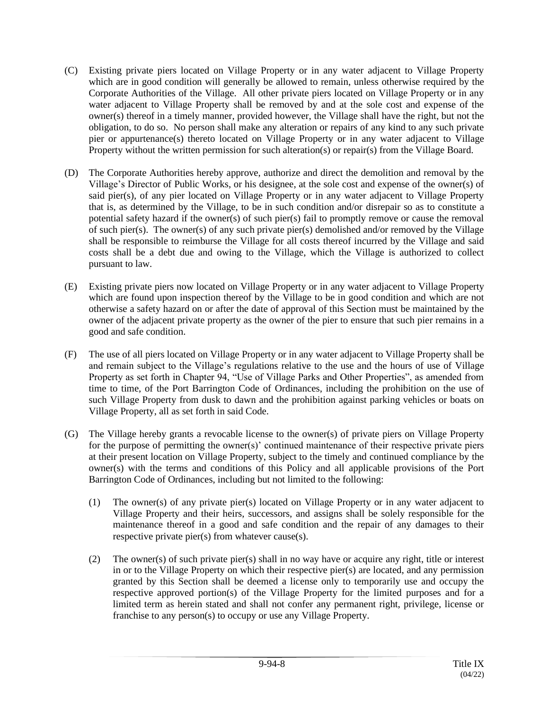- (C) Existing private piers located on Village Property or in any water adjacent to Village Property which are in good condition will generally be allowed to remain, unless otherwise required by the Corporate Authorities of the Village. All other private piers located on Village Property or in any water adjacent to Village Property shall be removed by and at the sole cost and expense of the owner(s) thereof in a timely manner, provided however, the Village shall have the right, but not the obligation, to do so. No person shall make any alteration or repairs of any kind to any such private pier or appurtenance(s) thereto located on Village Property or in any water adjacent to Village Property without the written permission for such alteration(s) or repair(s) from the Village Board.
- (D) The Corporate Authorities hereby approve, authorize and direct the demolition and removal by the Village's Director of Public Works, or his designee, at the sole cost and expense of the owner(s) of said pier(s), of any pier located on Village Property or in any water adjacent to Village Property that is, as determined by the Village, to be in such condition and/or disrepair so as to constitute a potential safety hazard if the owner(s) of such pier(s) fail to promptly remove or cause the removal of such pier(s). The owner(s) of any such private pier(s) demolished and/or removed by the Village shall be responsible to reimburse the Village for all costs thereof incurred by the Village and said costs shall be a debt due and owing to the Village, which the Village is authorized to collect pursuant to law.
- (E) Existing private piers now located on Village Property or in any water adjacent to Village Property which are found upon inspection thereof by the Village to be in good condition and which are not otherwise a safety hazard on or after the date of approval of this Section must be maintained by the owner of the adjacent private property as the owner of the pier to ensure that such pier remains in a good and safe condition.
- (F) The use of all piers located on Village Property or in any water adjacent to Village Property shall be and remain subject to the Village's regulations relative to the use and the hours of use of Village Property as set forth in Chapter 94, "Use of Village Parks and Other Properties", as amended from time to time, of the Port Barrington Code of Ordinances, including the prohibition on the use of such Village Property from dusk to dawn and the prohibition against parking vehicles or boats on Village Property, all as set forth in said Code.
- (G) The Village hereby grants a revocable license to the owner(s) of private piers on Village Property for the purpose of permitting the owner(s)' continued maintenance of their respective private piers at their present location on Village Property, subject to the timely and continued compliance by the owner(s) with the terms and conditions of this Policy and all applicable provisions of the Port Barrington Code of Ordinances, including but not limited to the following:
	- (1) The owner(s) of any private pier(s) located on Village Property or in any water adjacent to Village Property and their heirs, successors, and assigns shall be solely responsible for the maintenance thereof in a good and safe condition and the repair of any damages to their respective private pier(s) from whatever cause(s).
	- (2) The owner(s) of such private pier(s) shall in no way have or acquire any right, title or interest in or to the Village Property on which their respective pier(s) are located, and any permission granted by this Section shall be deemed a license only to temporarily use and occupy the respective approved portion(s) of the Village Property for the limited purposes and for a limited term as herein stated and shall not confer any permanent right, privilege, license or franchise to any person(s) to occupy or use any Village Property.